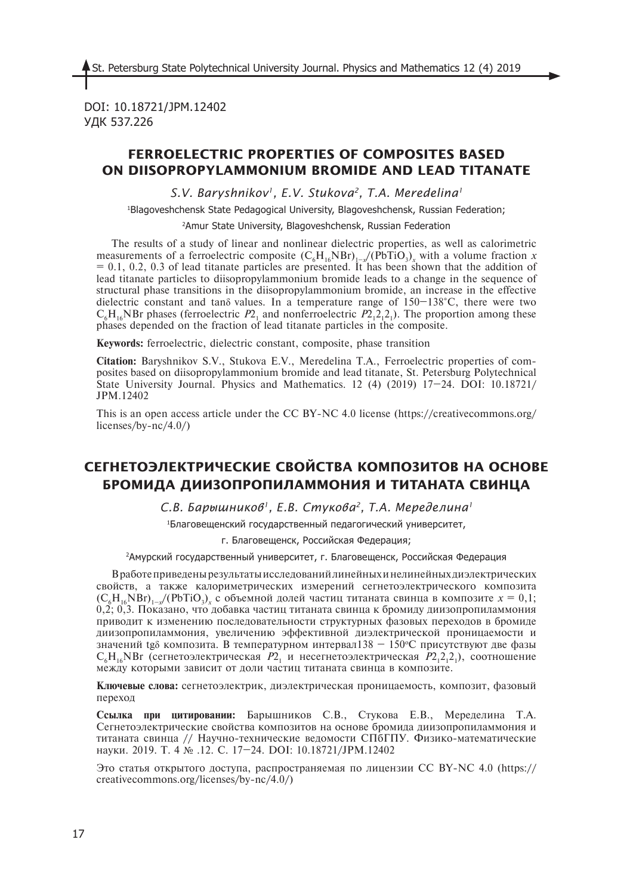DOI: 10.18721/JPM.12402 УДК 537.226

## **FERROELECTRIC PROPERTIES OF COMPOSITES BASED ON DIISOPROPYLAMMONIUM BROMIDE AND LEAD TITANATE**

*S.V. Baryshnikov1, E.V. Stukova2, T.A. Meredelina1*

1 Blagoveshchensk State Pedagogical University, Blagoveshchensk, Russian Federation;

2 Amur State University, Blagoveshchensk, Russian Federation

The results of a study of linear and nonlinear dielectric properties, as well as calorimetric measurements of a ferroelectric composite  $(C_6H_{16}NBr)_{1-x}/(PbTiO_3)_x$  with a volume fraction *x*  $= 0.1, 0.2, 0.3$  of lead titanate particles are presented. It has been shown that the addition of lead titanate particles to diisopropylammonium bromide leads to a change in the sequence of structural phase transitions in the diisopropylammonium bromide, an increase in the effective dielectric constant and tanδ values. In a temperature range of 150–138°C, there were two  $C_6H_{16}$ NBr phases (ferroelectric  $P_1$  and nonferroelectric  $P_2$ <sub>1</sub>2<sub>1</sub>2<sub>1</sub>). The proportion among these phases depended on the fraction of lead titanate particles in the composite.

**Keywords:** ferroelectric, dielectric constant, composite, phase transition

**Citation:** Baryshnikov S.V., Stukova E.V., Meredelina T.A., Ferroelectric properties of composites based on diisopropylammonium bromide and lead titanate, St. Petersburg Polytechnical State University Journal. Physics and Mathematics. 12 (4) (2019) 17–24. DOI: 10.18721/ JPM.12402

This is an open access article under the CC BY-NC 4.0 license (https://creativecommons.org/ licenses/by-nc/4.0/)

# **СЕГНЕТОЭЛЕКТРИЧЕСКИЕ СВОЙСТВА КОМПОЗИТОВ НА ОСНОВЕ БРОМИДА ДИИЗОПРОПИЛАММОНИЯ И ТИТАНАТА СВИНЦА**

*С.В. Барышников1, Е.В. Стукова2, Т.А. Меределина1*

1 Благовещенский государственный педагогический университет,

г. Благовещенск, Российская Федерация;

2 Амурский государственный университет, г. Благовещенск, Российская Федерация

В работе приведены результаты исследований линейных и нелинейных диэлектрических свойств, а также калориметрических измерений сегнетоэлектрического композита  $(C_{6}H_{16}NBr)_{1-x}$ /(PbTiO<sub>3</sub>)<sub>x</sub> с объемной долей частиц титаната свинца в композите  $x = 0,1$ ; 0,2; 0,3. Показано, что добавка частиц титаната свинца к бромиду диизопропиламмония приводит к изменению последовательности структурных фазовых переходов в бромиде диизопропиламмония, увеличению эффективной диэлектрической проницаемости и значений tg<sub>δ</sub> композита. В температурном интервал $138 - 150$ °С присутствуют две фазы  $C_6H_{16}NBr$  (сегнетоэлектрическая  $P2_1$  и несегнетоэлектрическая  $P2_12_12_1$ ), соотношение между которыми зависит от доли частиц титаната свинца в композите.

**Ключевые слова:** сегнетоэлектрик, диэлектрическая проницаемость, композит, фазовый переход

**Ссылка при цитировании:** Барышников С.В., Стукова Е.В., Меределина Т.А. Сегнетоэлектрические свойства композитов на основе бромида диизопропиламмония и титаната свинца // Научно-технические ведомости СПбГПУ. Физико-математические науки. 2019. Т. 4 № .12. С. 17–24. DOI: 10.18721/JPM.12402

Это статья открытого доступа, распространяемая по лицензии CC BY-NC 4.0 (https:// creativecommons.org/licenses/by-nc/4.0/)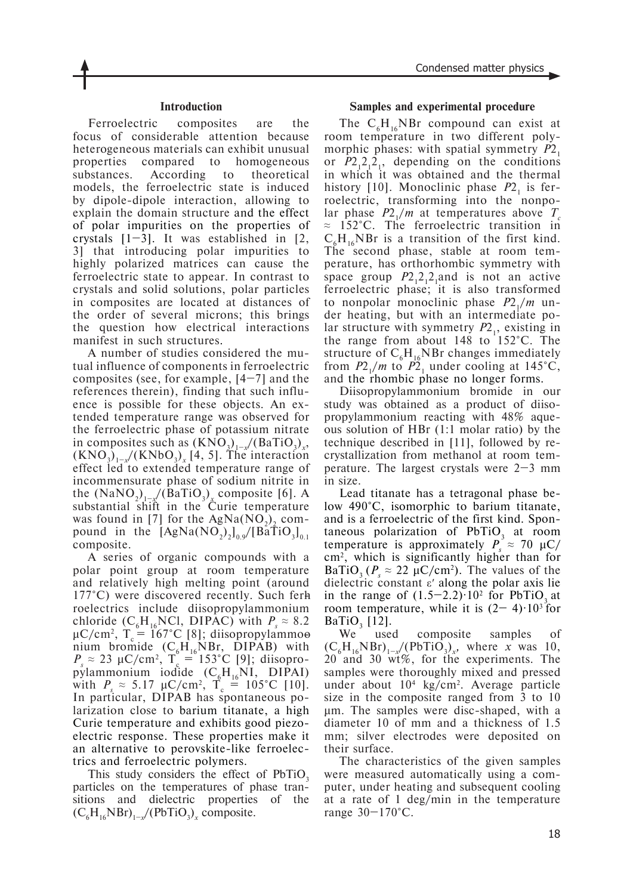#### **Introduction**

Ferroelectric composites are the focus of considerable attention because heterogeneous materials can exhibit unusual properties compared to homogeneous substances. According to theoretical models, the ferroelectric state is induced by dipole-dipole interaction, allowing to explain the domain structure and the effect of polar impurities on the properties of crystals  $[1-3]$ . It was established in  $[2, 1]$ 3] that introducing polar impurities to highly polarized matrices can cause the ferroelectric state to appear. In contrast to crystals and solid solutions, polar particles in composites are located at distances of the order of several microns; this brings the question how electrical interactions manifest in such structures.

A number of studies considered the mutual influence of components in ferroelectric composites (see, for example,  $[4-7]$  and the references therein), finding that such influence is possible for these objects. An extended temperature range was observed for the ferroelectric phase of potassium nitrate in composites such as  $(KNO_3)_{1-x}/(BaTiO_3)_x$ ,  $(KNO<sub>3</sub>)<sub>1-x</sub>$ / $(KNbO<sub>3</sub>)<sub>x</sub>$  [4, 5]. The interaction effect led to extended temperature range of incommensurate phase of sodium nitrite in the  $(NaNO_2)_{1-x}$ /(BaTiO<sub>3</sub>)<sub>x</sub> composite [6]. A substantial shift in the Curie temperature was found in [7] for the  $AgNa(NO<sub>2</sub>)$ , compound in the  $[AgNa(NO<sub>2</sub>)_{0.9}/[BaTiO<sub>3</sub>]<sub>0.1</sub>]$ composite.

A series of organic compounds with a polar point group at room temperature and relatively high melting point (around 177°C) were discovered recently. Such ferhroelectrics include diisopropylammonium chloride  $(C_6H_{16}NCl, DIPAC)$  with  $P_s \approx 8.2$ μC/cm<sup>2</sup>, T<sub>c</sub> = 167°C [8]; diisopropylammoo nium bromide  $(C_6H_{16}NBr, DIPAB)$  with  $P_s \approx 23 \mu C/cm^2$ ,  $T_c = 153^{\circ}C$  [9]; diisopropylammonium iodide  $(C_6H_{16}NI, DIPAI)$ with  $P_s \approx 5.17 \text{ }\mu\text{C/cm}^2$ ,  $T_c = 105^{\circ}\text{C}$  [10]. In particular, DIPAB has spontaneous polarization close to barium titanate, a high Curie temperature and exhibits good piezoelectric response. These properties make it an alternative to perovskite-like ferroelectrics and ferroelectric polymers.

This study considers the effect of PbTiO<sub>3</sub> particles on the temperatures of phase transitions and dielectric properties of the  $(C_6H_{16}NBr)_{1-x}/(PbTiO_3)_x$  composite.

#### **Samples and experimental procedure**

The  $C_6H_{16}NBr$  compound can exist at room temperature in two different polymorphic phases: with spatial symmetry  $P_1$ or  $P2_12_12_1$ , depending on the conditions in which it was obtained and the thermal history [10]. Monoclinic phase  $P2<sub>1</sub>$  is ferroelectric, transforming into the nonpolar phase  $P2_1/m$  at temperatures above  $T_c$ ≈ 152°C. The ferroelectric transition in  $C_6H_{16}NBr$  is a transition of the first kind. The second phase, stable at room temperature, has orthorhombic symmetry with space group  $P2,2,2$ <sub>1</sub> and is not an active ferroelectric phase; it is also transformed to nonpolar monoclinic phase  $P2/m$  under heating, but with an intermediate polar structure with symmetry  $P2<sub>1</sub>$ , existing in the range from about 148 to 152°C. The structure of  $C_6H_{16}NBr$  changes immediately from  $P2_1/m$  to  $P2_1$  under cooling at 145°C, and the rhombic phase no longer forms.

Diisopropylammonium bromide in our study was obtained as a product of diisopropylammonium reacting with 48% aqueous solution of HBr (1:1 molar ratio) by the technique described in [11], followed by recrystallization from methanol at room temperature. The largest crystals were  $2-3$  mm in size.

Lead titanate has a tetragonal phase below 490°C, isomorphic to barium titanate, and is a ferroelectric of the first kind. Spontaneous polarization of  $PbTiO<sub>3</sub>$  at room temperature is approximately  $P_s \approx 70 \mu C$ / cm2 , which is significantly higher than for BaTiO<sub>3</sub> ( $P_s \approx 22 \mu C/cm^2$ ). The values of the dielectric constant εʹ along the polar axis lie in the range of  $(1.5-2.2)$  10<sup>2</sup> for PbTiO<sub>3</sub> at room temperature, while it is  $(2-4)$  $\cdot 10^{3}$  for  $BaTiO<sub>3</sub>$  [12].

We used composite samples of  $(C_6H_{16}NBr)_{1-x}/(PbTiO_3)_x$ , where *x* was 10, 20 and 30 wt%, for the experiments. The samples were thoroughly mixed and pressed under about 10<sup>4</sup> kg/cm<sup>2</sup>. Average particle size in the composite ranged from 3 to 10 μm. The samples were disc-shaped, with a diameter 10 of mm and a thickness of 1.5 mm; silver electrodes were deposited on their surface.

The characteristics of the given samples were measured automatically using a computer, under heating and subsequent cooling at a rate of 1 deg/min in the temperature range 30–170°C.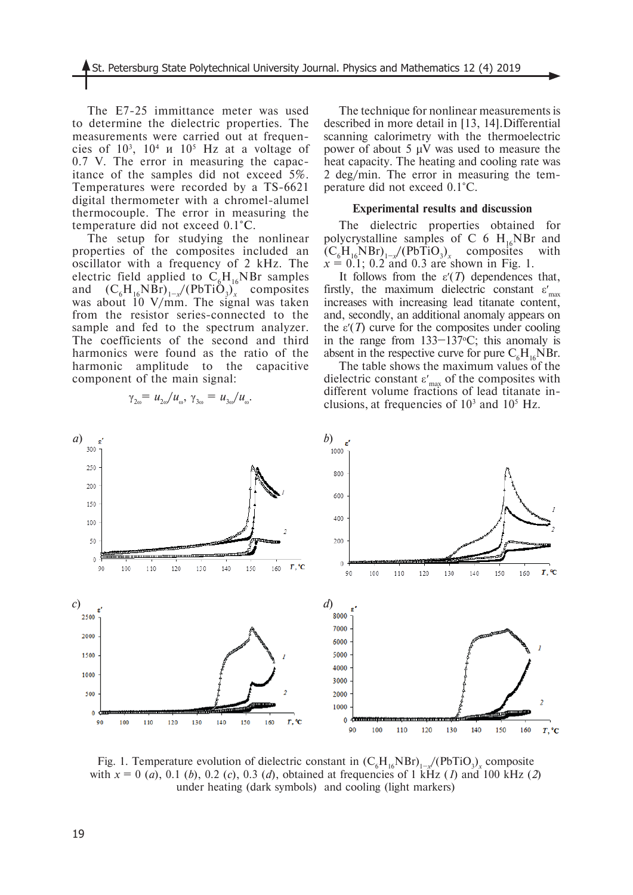The E7-25 immittance meter was used to determine the dielectric properties. The measurements were carried out at frequencies of  $10^3$ ,  $10^4$   $\mu$   $10^5$  Hz at a voltage of 0.7 V. The error in measuring the capacitance of the samples did not exceed 5%. Temperatures were recorded by a TS-6621 digital thermometer with a chromel-alumel thermocouple. The error in measuring the temperature did not exceed 0.1°C.

The setup for studying the nonlinear properties of the composites included an oscillator with a frequency of 2 kHz. The electric field applied to  $C_6H_{16}NBr$  samples and  $(C_6H_{16}NBr)_{1-x}/(PbTiO_3)_x$  composites was about 10 V/mm. The signal was taken from the resistor series-connected to the sample and fed to the spectrum analyzer. The coefficients of the second and third harmonics were found as the ratio of the harmonic amplitude to the capacitive component of the main signal:

The technique for nonlinear measurements is described in more detail in [13, 14].Differential scanning calorimetry with the thermoelectric power of about 5  $\mu$ V was used to measure the heat capacity. The heating and cooling rate was 2 deg/min. The error in measuring the temperature did not exceed 0.1°C.

### **Experimental results and discussion**

The dielectric properties obtained for polycrystalline samples of C 6  $H_{16}$ NBr and  $(C_6H_{16}NBr)_{1-x}$ /(PbTiO<sub>3</sub>)<sub>x</sub> composites with  $x = 0.1$ ; 0.2 and 0.3 are shown in Fig. 1.

It follows from the  $\varepsilon'(T)$  dependences that, firstly, the maximum dielectric constant  $\varepsilon'_{\text{max}}$ increases with increasing lead titanate content, and, secondly, an additional anomaly appears on the  $\varepsilon'(T)$  curve for the composites under cooling in the range from  $133-137$ °C; this anomaly is absent in the respective curve for pure  $C_6H_{16}NBr.$ 

The table shows the maximum values of the dielectric constant  $\varepsilon'_{\text{max}}$  of the composites with different volume fractions of lead titanate inclusions, at frequencies of  $10<sup>3</sup>$  and  $10<sup>5</sup>$  Hz.



Fig. 1. Temperature evolution of dielectric constant in  $(C_6H_{16}NBr)_{1-x}/(PbTiO_3)_x$  composite with  $x = 0$  (*a*), 0.1 (*b*), 0.2 (*c*), 0.3 (*d*), obtained at frequencies of 1 kHz (*I*) and 100 kHz (*2*) under heating (dark symbols) and cooling (light markers)

$$
\gamma_{2\omega} = u_{2\omega}/u_{\omega}, \gamma_{3\omega} = u_{3\omega}/u_{\omega}.
$$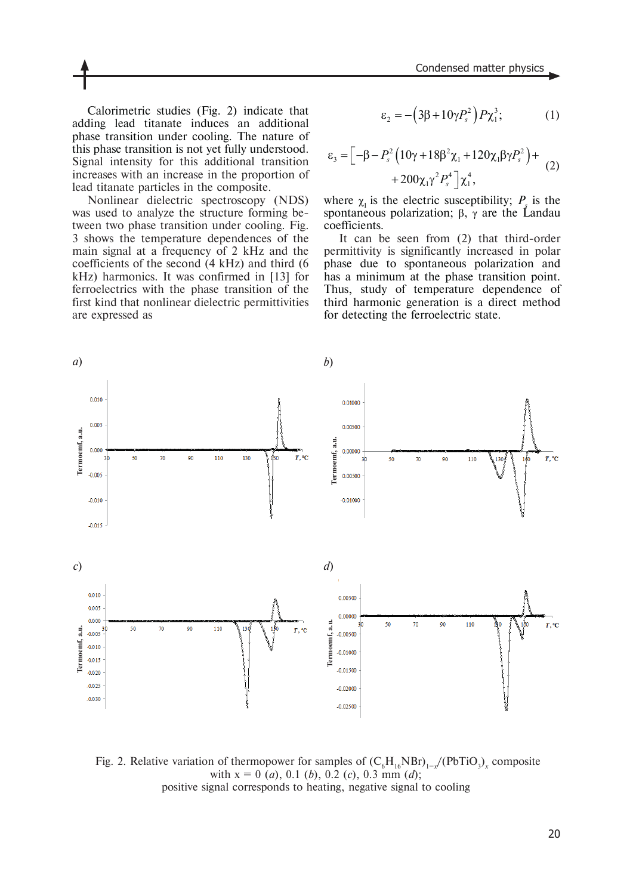Calorimetric studies (Fig. 2) indicate that adding lead titanate induces an additional phase transition under cooling. The nature of this phase transition is not yet fully understood. Signal intensity for this additional transition increases with an increase in the proportion of lead titanate particles in the composite.

Nonlinear dielectric spectroscopy (NDS) was used to analyze the structure forming between two phase transition under cooling. Fig. 3 shows the temperature dependences of the main signal at a frequency of 2 kHz and the coefficients of the second (4 kHz) and third (6 kHz) harmonics. It was confirmed in [13] for ferroelectrics with the phase transition of the first kind that nonlinear dielectric permittivities are expressed as

$$
\varepsilon_2 = -\left(3\beta + 10\gamma P_s^2\right)P\chi_1^3; \tag{1}
$$

$$
\varepsilon_{3} = \left[ -\beta - P_{s}^{2} \left( 10\gamma + 18\beta^{2} \chi_{1} + 120\chi_{1}\beta\gamma P_{s}^{2} \right) + 200\chi_{1}\gamma^{2} P_{s}^{4} \right] \chi_{1}^{4}, \tag{2}
$$

where  $\chi_1$  is the electric susceptibility;  $P_s$  is the spontaneous polarization;  $β$ ,  $γ$  are the Landau coefficients.

It can be seen from (2) that third-order permittivity is significantly increased in polar phase due to spontaneous polarization and has a minimum at the phase transition point. Thus, study of temperature dependence of third harmonic generation is a direct method for detecting the ferroelectric state.



Fig. 2. Relative variation of thermopower for samples of  $(C_6H_{16}NBr)_{1-x}/(PbTiO_3)_x$  composite with  $x = 0$  (*a*), 0.1 (*b*), 0.2 (*c*), 0.3 mm (*d*); positive signal corresponds to heating, negative signal to cooling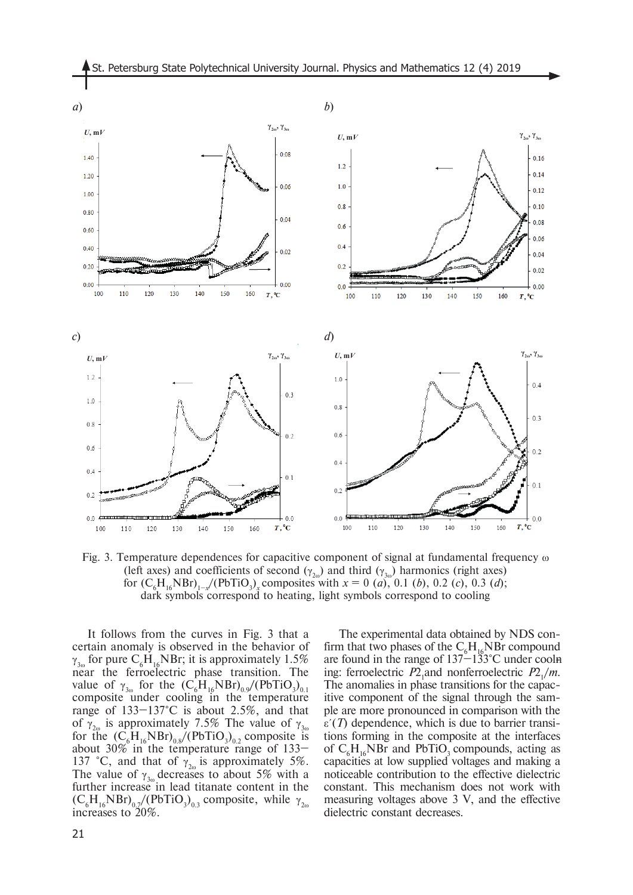

Fig. 3. Temperature dependences for capacitive component of signal at fundamental frequency  $\omega$ (left axes) and coefficients of second  $(\gamma_{2\omega})$  and third  $(\gamma_{3\omega})$  harmonics (right axes) for  $(C_6H_{16}NBr)_{1-x}$ /(PbTiO<sub>3</sub>)<sub>x</sub></sub> composites with  $x = 0$  (*a*), 0.1 (*b*), 0.2 (*c*), 0.3 (*d*); dark symbols correspond to heating, light symbols correspond to cooling

It follows from the curves in Fig. 3 that a certain anomaly is observed in the behavior of  $\gamma_{3\omega}$  for pure C<sub>6</sub>H<sub>16</sub>NBr; it is approximately 1.5% near the ferroelectric phase transition. The value of  $\gamma_{3\omega}$  for the  $(C_6H_{16}NBr)_{0.9}/(PbTiO_3)_{0.1}$ composite under cooling in the temperature range of 133–137°C is about 2.5%, and that of  $\gamma_{2\omega}$  is approximately 7.5% The value of  $\gamma_{3\omega}$ for the  $(C_6H_{16}NBr)_{0.8}/(PbTiO_3)_{0.2}$  composite is about 30% in the temperature range of 133– 137 °C, and that of  $\gamma_{20}$  is approximately 5%. The value of  $\gamma_{30}$  decreases to about 5% with a further increase in lead titanate content in the  $(C_6H_{16}NBr)_{0.7}/(PbTiO_3)_{0.3}$  composite, while  $\gamma_{2\omega}$ increases to 20%.

The experimental data obtained by NDS confirm that two phases of the  $C_6H_{16}NBr$  compound are found in the range of  $137 - 133$ °C under cooln ing: ferroelectric  $P2_1$  and nonferroelectric  $P2_1/m$ . The anomalies in phase transitions for the capacitive component of the signal through the sample are more pronounced in comparison with the  $\varepsilon$ <sup>'</sup>(*T*) dependence, which is due to barrier transitions forming in the composite at the interfaces of  $C_6H_{16}NBr$  and PbTiO<sub>3</sub> compounds, acting as capacities at low supplied voltages and making a noticeable contribution to the effective dielectric constant. This mechanism does not work with measuring voltages above 3 V, and the effective dielectric constant decreases.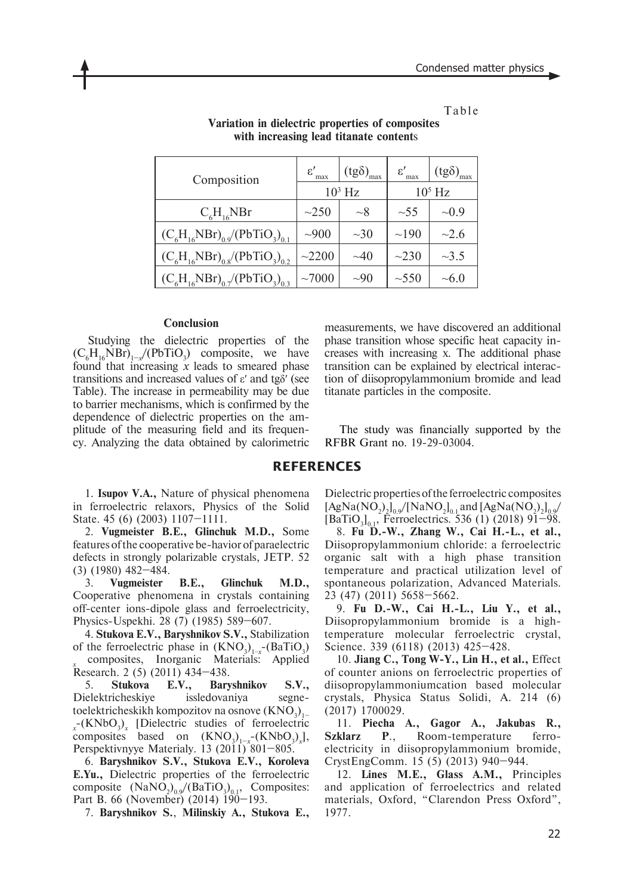Table

| Composition                                                  | $\varepsilon'$<br>max | $(tg\delta)_{max}$ | $\varepsilon'$<br>max | $(tg\delta)_{max}$ |
|--------------------------------------------------------------|-----------------------|--------------------|-----------------------|--------------------|
|                                                              | $103$ Hz              |                    | $105$ Hz              |                    |
| $C_{6}H_{16}NBr$                                             | $\sim$ 250            | $\sim\!\!8$        | $\sim$ 55             | $\sim 0.9$         |
| $(C_6H_{16}NBr)_{0.9}$ (PbTiO <sub>3</sub> ) <sub>0.1</sub>  | $\sim 900$            | $\sim 30$          | $\sim$ 190            | ~2.6               |
| $(C_{6}H_{16}NBr)_{0.8}/(PbTiO_{3})_{0.2}$                   | ~2200                 | $\sim 40$          | $\sim$ 230            | $\sim 3.5$         |
| $(C_{6}H_{16}NBr)_{07}$ /(PbTiO <sub>3</sub> ) <sub>03</sub> | ~1000                 | $\sim 90$          | $\sim$ 550            | $\sim 6.0$         |

**Variation in dielectric properties of composites with increasing lead titanate content**s

#### **Conclusion**

Studying the dielectric properties of the  $(C_6H_{16}NBr)_{1-x}$  (PbTiO<sub>3</sub>) composite, we have found that increasing *x* leads to smeared phase transitions and increased values of ε′ and tgδ′ (see Table). The increase in permeability may be due to barrier mechanisms, which is confirmed by the dependence of dielectric properties on the amplitude of the measuring field and its frequency. Analyzing the data obtained by calorimetric

measurements, we have discovered an additional phase transition whose specific heat capacity increases with increasing x. The additional phase transition can be explained by electrical interaction of diisopropylammonium bromide and lead titanate particles in the composite.

The study was financially supported by the RFBR Grant no. 19-29-03004.

#### **REFERENCES**

1. **Isupov V.A.,** Nature of physical phenomena in ferroelectric relaxors, Physics of the Solid State. 45 (6) (2003) 1107–1111.

2. **Vugmeister B.E., Glinchuk M.D.,** Some features of the cooperative be-havior of paraelectric defects in strongly polarizable crystals, JETP. 52 (3) (1980) 482–484.

3. **Vugmeister B.E., Glinchuk M.D.,** Cooperative phenomena in crystals containing off-center ions-dipole glass and ferroelectricity, Physics-Uspekhi. 28 (7) (1985) 589–607.

4. **Stukova E.V., Baryshnikov S.V.,** Stabilization of the ferroelectric phase in  $(KNO_3)_{1-x}$ -(BaTiO<sub>3</sub>) *x*Research. 2 (5) (2011) 434–438. composites, Inorganic Materials: Applied

5. **Stukova E.V., Baryshnikov S.V.,** Dielektricheskiye issledovaniya segnetoelektricheskikh kompozitov na osnove (KNO $_3)_{_{\rm I}-}$ *x*<sup>-</sup>(KNbO<sub>3</sub>)<sub>*x*</sub> [Dielectric studies of ferroelectric composites based on  $(KNO_3)_{1-x}^{\phantom{1-x}^-}(KNbO_3)_x$ , Perspektivnyye Materialy. 13  $(2011)^{6}801-805$ .

6. **Baryshnikov S.V., Stukova E.V., Koroleva E.Yu.,** Dielectric properties of the ferroelectric composite  $(NaNO<sub>2</sub>)<sub>0.9</sub>/(BaTiO<sub>3</sub>)<sub>0.1</sub>$ , Composites: Part B. 66 (November) (2014) 190-193.

7. **Baryshnikov S.**, **Milinskiy A., Stukova E.,**

Dielectric properties of the ferroelectric composites  $[AgNa(NO<sub>2</sub>)<sub>2</sub>]<sub>0.9</sub>/[NaNO<sub>2</sub>]<sub>0.1</sub>$  and  $[AgNa(NO<sub>2</sub>)<sub>2</sub>]<sub>0.9</sub>/$  $[BaTiO<sub>3</sub>]<sub>0.1</sub>$ , Ferroelectrics. 536 (1) (2018) 91–98.

8. **Fu D.-W., Zhang W., Cai H.-L., et al.,** Diisopropylammonium chloride: a ferroelectric organic salt with a high phase transition temperature and practical utilization level of spontaneous polarization, Advanced Materials. 23 (47) (2011) 5658–5662.

9. **Fu D.-W., Cai H.-L., Liu Y., et al.,** Diisopropylammonium bromide is a hightemperature molecular ferroelectric crystal, Science. 339 (6118) (2013) 425–428.

10. **Jiang C., Tong W-Y., Lin H., et al.,** Effect of counter anions on ferroelectric properties of diisopropylammoniumcation based molecular crystals, Physica Status Solidi, A. 214 (6) (2017) 1700029.

11. **Piecha A., Gagor A., Jakubas R., Szklarz P**., Room-temperature ferroelectricity in diisopropylammonium bromide, CrystEngComm. 15 (5) (2013) 940–944.

12. **Lines M.E., Glass A.M.,** Principles and application of ferroelectrics and related materials, Oxford, "Clarendon Press Oxford", 1977.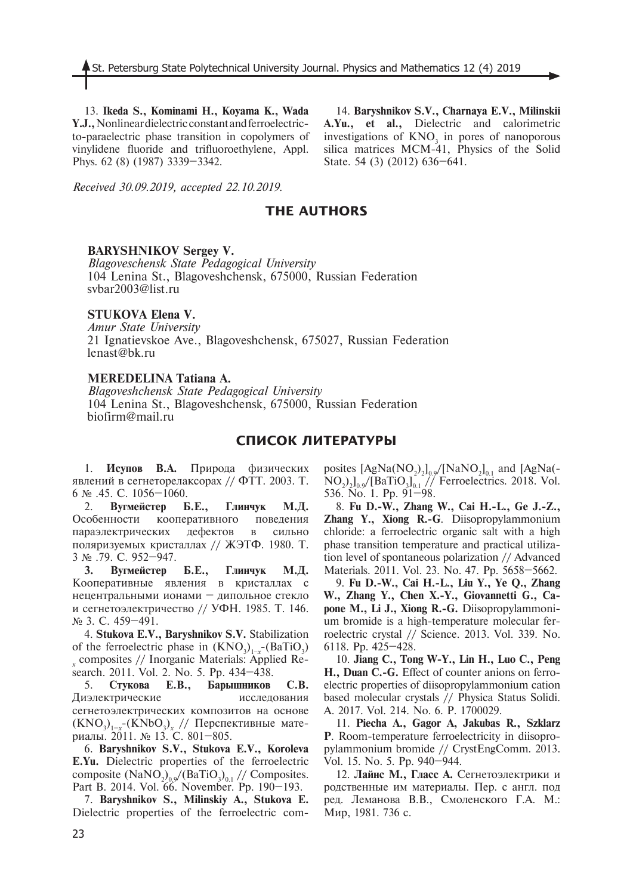13. **Ikeda S., Kominami H., Koyama K., Wada Y.J.,** Nonlinear dielectric constant and ferroelectricto-paraelectric phase transition in copolymers of vinylidene fluoride and trifluoroethylene, Appl. Phys. 62 (8) (1987) 3339–3342.

14. **Baryshnikov S.V., Charnaya E.V., Milinskii A.Yu., et al.,** Dielectric and calorimetric investigations of  $KNO_3$  in pores of nanoporous silica matrices MCM-41, Physics of the Solid State. 54 (3) (2012) 636–641.

*Received 30.09.2019, accepted 22.10.2019.*

# **THE AUTHORS**

## **BARYSHNIKOV Sergey V.**

*Blagoveschensk State Pedagogical University* 104 Lenina St., Blagoveshchensk, 675000, Russian Federation svbar2003@list.ru

## **STUKOVA Elena V.**

*Amur State University* 21 Ignatievskoe Ave., Blagoveshchensk, 675027, Russian Federation lenast@bk.ru

## **MEREDELINA Tatiana A.**

*Blagoveshchensk State Pedagogical University* 104 Lenina St., Blagoveshchensk, 675000, Russian Federation biofirm@mail.ru

## **СПИСОК ЛИТЕРАТУРЫ**

1. **Исупов В.А.** Природа физических явлений в сегнеторелаксорах // ФТТ. 2003. Т. 6 № .45. С. 1056–1060.

2. **Вугмейстер Б.Е., Глинчук М.Д.** Особенности кооперативного поведения параэлектрических дефектов в сильно поляризуемых кристаллах // ЖЭТФ. 1980. Т. 3 № .79. С. 952–947.

**3. Вугмейстер Б.Е., Глинчук М.Д.** Кооперативные явления в кристаллах с нецентральными ионами – дипольное стекло и сегнетоэлектричество // УФН. 1985. Т. 146. № 3. С. 459–491.

4. **Stukova E.V., Baryshnikov S.V.** Stabilization of the ferroelectric phase in  $(KNO_3)_{1-x}$ -(BaTiO<sub>3</sub>) *x* search. 2011. Vol. 2. No. 5. Рp. 434–438. composites // Inorganic Materials: Applied Re-

5. **Стукова Е.В., Барышников С.В.** Диэлектрические исследования сегнетоэлектрических композитов на основе  $(KNO<sub>3</sub>)<sub>1-x</sub>$ -(KNbO<sub>3</sub>)<sub>x</sub> // Перспективные материалы. 2011. № 13. С. 801–805.

6. **Baryshnikov S.V., Stukova E.V., Koroleva E.Yu.** Dielectric properties of the ferroelectric composite  $(NaNO<sub>2</sub>)<sub>0.9</sub>/(BaTiO<sub>3</sub>)<sub>0.1</sub>$  // Composites. Part B. 2014. Vol. 66. November. Pp. 190–193.

7. **Baryshnikov S., Milinskiy A., Stukova E.** Dielectric properties of the ferroelectric composites  $[AgNa(NO<sub>2</sub>)<sub>2</sub>]<sub>0.9</sub>/[NaNO<sub>2</sub>]<sub>0.1</sub>$  and  $[AgNa(-)$  $NO<sub>2</sub>$ )<sub>2</sub>l<sub>0.9</sub>/[BaTiO<sub>3</sub>]<sub>0.1</sub> // Ferroelectrics. 2018. Vol. 536. No. 1. Pp. 91–98.

8. **Fu D.-W., Zhang W., Cai H.-L., Ge J.-Z., Zhang Y., Xiong R.-G**. Diisopropylammonium chloride: a ferroelectric organic salt with a high phase transition temperature and practical utilization level of spontaneous polarization // Advanced Materials. 2011. Vol. 23. No. 47. Pp. 5658–5662.

9. **Fu D.-W., Cai H.-L., Liu Y., Ye Q., Zhang W., Zhang Y., Chen X.-Y., Giovannetti G., Capone M., Li J., Xiong R.-G.** Diisopropylammonium bromide is a high-temperature molecular ferroelectric crystal // Science. 2013. Vol. 339. No. 6118. Pp. 425–428.

10. **Jiang C., Tong W-Y., Lin H., Luo C., Peng H., Duan C.-G.** Effect of counter anions on ferroelectric properties of diisopropylammonium cation based molecular crystals // Physica Status Solidi. A. 2017. Vol. 214. No. 6. P. 1700029.

11. **Piecha A., Gagor A, Jakubas R., Szklarz P**. Room-temperature ferroelectricity in diisopropylammonium bromide // CrystEngComm. 2013. Vol. 15. No. 5. Pp. 940–944.

12. **Лайнс М., Гласс А.** Сегнетоэлектрики и родственные им материалы. Пер. с англ. под ред. Леманова В.В., Смоленского Г.А. М.: Мир, 1981. 736 с.